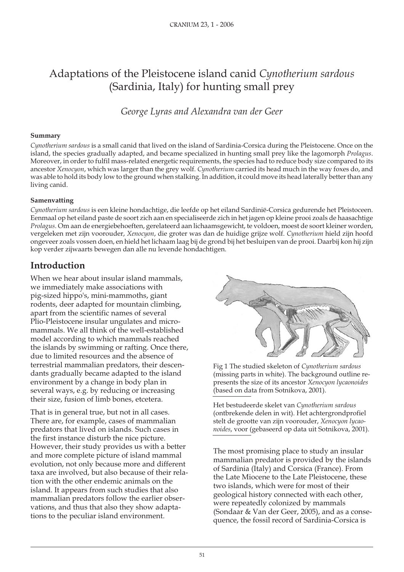# Adaptations of the Pleistocene island canid *Cynotherium sardous* (Sardinia, Italy) for hunting small prey

*George Lyras and Alexandra van der Geer* 

#### **Summary**

*Cynotherium sardous* is a small canid that lived on the island of Sardinia-Corsica during the Pleistocene. Once on the island, the species gradually adapted, and became specialized in hunting small prey like the lagomorph *Prolagus*. Moreover, in order to fulfil mass-related energetic requirements, the species had to reduce body size compared to its ancestor *Xenocyon*, which was larger than the grey wolf. *Cynotherium* carried its head much in the way foxes do, and was able to hold its body low to the ground when stalking. In addition, it could move its head laterally better than any living canid.

#### **Samenvatting**

Cynotherium sardous is een kleine hondachtige, die leefde op het eiland Sardinië-Corsica gedurende het Pleistoceen. Eenmaal op het eiland paste de soort zich aan en specialiseerde zich in het jagen op kleine prooi zoals de haasachtige Prolagus. Om aan de energiebehoeften, gerelateerd aan lichaamsgewicht, te voldoen, moest de soort kleiner worden, vergeleken met zijn voorouder, *Xenocyon*, die groter was dan de huidige grijze wolf. Cynotherium hield zijn hoofd ongeveer zoals vossen doen, en hield het lichaam laag bij de grond bij het besluipen van de prooi. Daarbij kon hij zijn kop verder zijwaarts bewegen dan alle nu levende hondachtigen.

## **Introduction**

When we hear about insular island mammals, we immediately make associations with pig-sized hippo's, mini-mammoths, giant rodents, deer adapted for mountain climbing, apart from the scientific names of several Plio-Pleistocene insular ungulates and micromammals. We all think of the well-established model according to which mammals reached the islands by swimming or rafting. Once there, due to limited resources and the absence of terrestrial mammalian predators, their descen-<br>dants gradually became adapted to the island<br>(missing parts in white). The background outline dants gradually became adapted to the island (missing parts in white). The background outline re-<br>environment by a change in body plan in presents the size of its ancestor *Xenocyon lycaonoides* several ways, e.g. by reducing or increasing (based on data from Sotnikova, 2001).

That is in general true, but not in all cases. (ontbrekende delen in wit). Het achtergrondprofiel<br>There are, for example, cases of mammalian stelt de grootte van zijn voorouder, *Xenocyon lycao*predators that lived on islands. Such cases in *noi des*, voor (gebaseerd op data uit Sotnikova, 2001). the first instance disturb the nice picture. However, their study provides us with a better



presents the size of its ancestor *Xenocyon lycaonoides* 

their size, fusion of limb bones, etcetera.<br>
Het bestudeerde skelet van *Cynotherium sardous*<br>
(ontbrekende delen in wit). Het achtergrondpro stelt de grootte van zijn voorouder, *Xenocyon lycao-*

and more complete picture of island mammal The most promising place to study an insular mammalian predator is provided by the islands evolution, not only because more and different<br>taxa are involved, but also because of their rela-<br>tion with the other endemic animals on the<br>island. It appears from such studies that also<br>mammalian predators follow the ear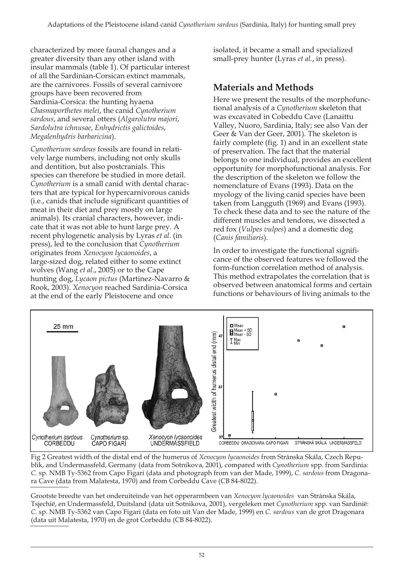characterized by more faunal changes and a greater diversity than any other island with insular mammals (table 1). Of particular interest of all the Sardinian-Corsican extinct mammals, are the carnivores. Fossils of several carnivore groups have been recovered from Sardinia-Corsica: the hunting hyaena *Chasmaporthetes melei*, the canid *Cynotherium sardous*, and several otters (*Algarolutra majori*, *Sardolutra ichnusae*, *Enhydrictis galictoides*, *Megalenhydris barbaricina*).

*Cynotherium sardous* fossils are found in relatively large numbers, including not only skulls and dentition, but also postcranials. This species can therefore be studied in more detail. *Cynot he rium* is a small canid with dental characters that are typical for hypercarnivorous canids (i.e., canids that include significant quantities of meat in their diet and prey mostly on large animals). Its cranial characters, however, indicate that it was not able to hunt large prey. A recent phylogenetic analysis by Lyras *et al*. (in press), led to the conclusion that *Cynotherium* originates from *Xenocyon lycaonoides*, a large-sized dog, related either to some extinct wolves (Wang *et al*., 2005) or to the Cape hunting dog, *Lycaon pictus* (Martinez-Navarro & Rook, 2003). *Xeno cyon* reached Sardinia-Corsica at the end of the early Pleistocene and once

isolated, it became a small and specialized small-prey hunter (Lyras *et al.*, in press).

# **Ma te ri als and Me thods**

Here we present the results of the morphofunctional analysis of a *Cynotherium* skeleton that was excavated in Cobeddu Cave (Lanaittu Valley, Nuoro, Sardinia, Italy; see also Van der Geer & Van der Geer, 2001). The skeleton is fairly complete (fig. 1) and in an excellent state of preservation. The fact that the material belongs to one individual, provides an excellent opportunity for morphofunctional analysis. For the description of the skeleton we follow the nomenclature of Evans (1993). Data on the myology of the living canid species have been taken from Langguth (1969) and Evans (1993). To check these data and to see the nature of the different muscles and tendons, we dissected a red fox (*Vulpes vulpes*) and a domestic dog (*Canis fami li aris*).

In order to investigate the functional significance of the observed features we followed the form-function correlation method of analysis. This method extrapolates the correlation that is observed between anatomical forms and certain functions or behaviours of living animals to the



Fig 2 Greatest width of the distal end of the humerus of *Xenocyon lycaonoides* from Stránska Skála, Czech Republik, and Undermassfeld, Germany (data from Sotnikova, 2001), compared with *Cynotherium* spp. from Sardinia: *C.* sp. NMB Ty-5362 from Capo Figari (data and photograph from van der Made, 1999), *C. sardous* from Dragonara Cave (data from Malatesta, 1970) and from Corbeddu Cave (CB 84-8022).

Grootste breedte van het onderuiteinde van het opperarmbeen van *Xenocyon lycaonoides* van Stránska Skála, Tsjechië, en Undermassfeld, Duitsland (data uit Sotnikova, 2001), vergeleken met *Cy not he ri um* spp. van Sardinië: *C.* sp. NMB Ty-5362 van Capo Figari (data en foto uit Van der Made, 1999) en *C. sardous* van de grot Dragonara (data uit Malatesta, 1970) en de grot Corbeddu (CB 84-8022).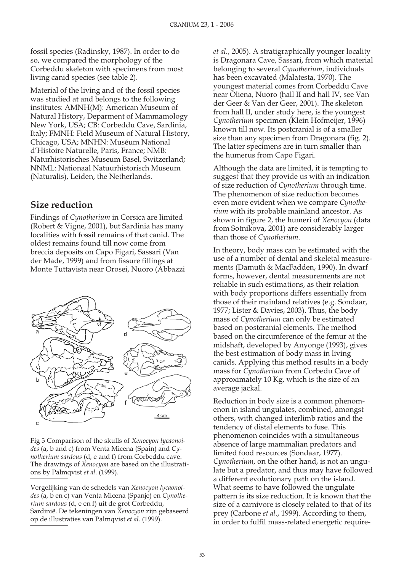fossil species (Radinsky, 1987). In order to do so, we compared the morphology of the Corbeddu skeleton with specimens from most living canid species (see table 2).

Material of the living and of the fossil species was studied at and belongs to the following institutes: AMNH(M): American Museum of Natural History, Deparment of Mammamology New York, USA; CB: Corbeddu Cave, Sardinia, Italy; FMNH: Field Museum of Natural History, Chicago, USA; MNHN: Muséum National d'Histoire Naturelle, Paris, France; NMB: Natur historisches Museum Basel, Switzerland; NNML: Nationaal Natuurhistorisch Museum (Naturalis), Leiden, the Netherlands.

## **Size reduction**

Findings of *Cynotherium* in Corsica are limited (Robert & Vigne, 2001), but Sardinia has many localities with fossil remains of that canid. The oldest remains found till now come from breccia deposits on Capo Figari, Sassari (Van der Made, 1999) and from fissure fillings at Monte Tuttavista near Orosei, Nuoro (Abbazzi



Fig 3 Comparison of the skulls of *Xenocyon lycaonoi*des (a, b and c) from Venta Micena (Spain) and *Cynotherium sardous* (d, e and f) from Corbeddu cave. The drawings of *Xenocyon* are based on the illustrations by Palmqvist *et al*. (1999).

Ver ge lij king van de sche dels van *Xe no cy on ly ca o noi*  des (a, b en c) van Venta Micena (Spanje) en *Cynothe*rium sardous (d, e en f) uit de grot Corbeddu, Sardinië. De tekeningen van Xenocyon zijn gebaseerd op de il lustraties van Palmqvist *et al*. (1999).

*et al.*, 2005). A stratigraphically younger locality is Dragonara Cave, Sassari, from which material belonging to several *Cynotherium*, individuals has been excavated (Malatesta, 1970). The youngest material comes from Corbeddu Cave near Oliena, Nuoro (hall II and hall IV, see Van der Geer & Van der Geer, 2001). The skeleton from hall II, under study here, is the youngest *Cynot he rium* specimen (Klein Hofmeijer, 1996) known till now. Its postcranial is of a smaller size than any specimen from Dragonara (fig. 2). The latter specimens are in turn smaller than the humerus from Capo Figari.

Although the data are limited, it is tempting to suggest that they provide us with an indication of size reduction of *Cynotherium* through time. The phenomenon of size reduction becomes even more evident when we compare *Cynotherium* with its probable mainland ancestor. As shown in figure 2, the humeri of *Xenocyon* (data from Sotnikova, 2001) are considerably larger than those of *Cynotherium*.

In theory, body mass can be estimated with the use of a number of dental and skeletal measurements (Damuth & MacFadden, 1990). In dwarf forms, however, dental measurements are not reliable in such estimations, as their relation with body proportions differs essentially from those of their mainland relatives (e.g. Sondaar, 1977; Lister & Davies, 2003). Thus, the body mass of *Cynotherium* can only be estimated based on postcranial elements. The method based on the circumference of the femur at the midshaft, developed by Anyonge (1993), gives the best estimation of body mass in living canids. Applying this method results in a body mass for *Cynotherium* from Corbedu Cave of approximately 10 Kg, which is the size of an average jackal.

Reduction in body size is a common phenomenon in island ungulates, combined, amongst others, with changed interlimb ratios and the tendency of distal elements to fuse. This phenomenon coincides with a simultaneous absence of large mammalian predators and limited food resources (Sondaar, 1977). *Cynotherium*, on the other hand, is not an ungulate but a predator, and thus may have followed a different evolutionary path on the island. What seems to have followed the ungulate pattern is its size reduction. It is known that the size of a carnivore is closely related to that of its prey (Carbone *et al*., 1999). According to them, in order to fulfil mass-related energetic require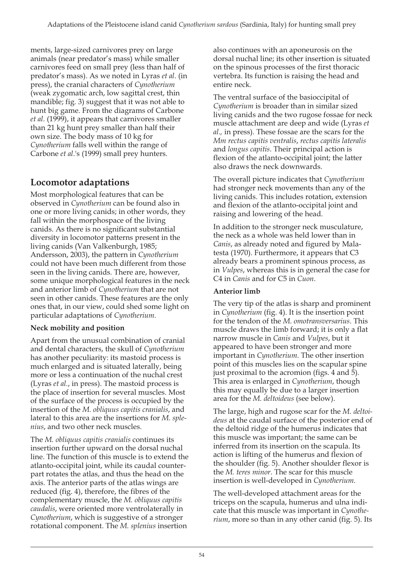ments, large-sized carnivores prey on large animals (near predator's mass) while smaller carnivores feed on small prey (less than half of predator's mass). As we noted in Lyras *et al*. (in press), the cranial characters of *Cynotherium*  (weak zygomatic arch, low sagittal crest, thin mandible; fig. 3) suggest that it was not able to hunt big game. From the diagrams of Carbone *et al*. (1999), it appears that carnivores smaller than 21 kg hunt prey smaller than half their own size. The body mass of 10 kg for *Cynotherium* falls well within the range of Carbone *et al*.'s (1999) small prey hunters.

# **Lo co mo tor adap ta ti ons**

Most morphological features that can be observed in *Cynotherium* can be found also in one or more living canids; in other words, they fall within the morphospace of the living canids. As there is no significant substantial diversity in locomotor patterns present in the living canids (Van Valkenburgh, 1985; Andersson, 2003), the pattern in *Cynotherium* could not have been much different from those seen in the living canids. There are, however, some unique morphological features in the neck and anterior limb of *Cynotherium* that are not seen in other canids. These features are the only ones that, in our view, could shed some light on particular adaptations of *Cynotherium*.

## **Neck mobility and position**

Apart from the unusual combination of cranial and dental characters, the skull of *Cynotherium* has another peculiarity: its mastoid process is much enlarged and is situated laterally, being more or less a continuation of the nuchal crest (Lyras *et al.*, in press). The mastoid process is the place of insertion for several muscles. Most of the surface of the process is occupied by the insertion of the *M. obliquus capitis cranialis*, and lateral to this area are the insertions for *M. sple nius*, and two other neck muscles.

The *M. obliquus capitis cranialis* continues its insertion further upward on the dorsal nuchal line. The function of this muscle is to extend the atlanto-occipital joint, while its caudal counterpart rotates the atlas, and thus the head on the axis. The anterior parts of the atlas wings are reduced (fig. 4), therefore, the fibres of the complementary muscle, the *M. obliquus capitis caudalis*, were oriented more ventrolaterally in *Cynotherium*, which is suggestive of a stronger rotational component. The *M. splenius* insertion

also continues with an aponeurosis on the dorsal nuchal line; its other insertion is situated on the spinous processes of the first thoracic vertebra. Its function is raising the head and entire neck.

The ventral surface of the basioccipital of Cynotherium is broader than in similar sized living canids and the two rugose fossae for neck muscle attach ment are deep and wide (Lyras *et al.,* in press). These fossae are the scars for the *Mm rectus capitis ventralis*, *rectus capitis lateralis*  and *longus capitis*. Their principal action is flexion of the atlanto-occipital joint; the latter also draws the neck downwards.

The overall picture indicates that *Cynotherium* had stronger neck movements than any of the living canids. This includes rotation, extension and flexion of the atlanto-occipital joint and raising and lowering of the head.

In addition to the stronger neck musculature, the neck as a whole was held lower than in *Canis*, as already noted and figured by Malatesta (1970). Furthermore, it appears that C3 already bears a prominent spinous process, as in *Vulpes*, whereas this is in general the case for C4 in *Canis* and for C5 in *Cuon*.

## **Anterior limb**

The very tip of the atlas is sharp and prominent in *Cynotherium* (fig. 4). It is the insertion point for the tendon of the *M. omotrans vers arius*. This muscle draws the limb forward; it is only a flat narrow muscle in *Canis* and *Vulpes*, but it appeared to have been stronger and more important in *Cynotherium*. The other insertion point of this muscles lies on the scapular spine just proximal to the acromion (figs. 4 and 5). This area is enlarged in *Cynotherium*, though this may equally be due to a larger insertion area for the *M. deltoideus* (see below).

The large, high and rugose scar for the *M. deltoi deus* at the caudal surface of the posterior end of the deltoid ridge of the humerus indicates that this muscle was important; the same can be inferred from its insertion on the scapula. Its action is lifting of the humerus and flexion of the shoulder (fig. 5). Another shoulder flexor is the *M. teres minor*. The scar for this muscle insertion is well-developed in *Cynotherium*.

The well-developed attachment areas for the triceps on the scapula, humerus and ulna indicate that this muscle was important in *Cynotherium*, more so than in any other canid (fig. 5). Its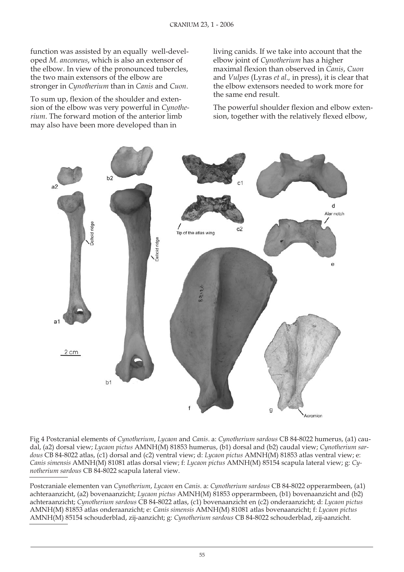function was assisted by an equally well-developed *M. anconeus*, which is also an extensor of the elbow. In view of the pronounced tubercles, the two main extensors of the elbow are stronger in *Cynotherium* than in *Canis* and *Cuon*.

To sum up, flexion of the shoulder and extension of the elbow was very powerful in *Cynotherium*. The forward motion of the anterior limb may also have been more developed than in

living canids. If we take into account that the elbow joint of *Cynotherium* has a higher maximal flexion than observed in *Canis*, *Cuon*  and *Vulpes* (Lyras *et al.,* in press), it is clear that the elbow extensors needed to work more for the same end result.

The powerful shoulder flexion and elbow extension, together with the relatively flexed elbow,



Fig 4 Postcranial elements of *Cynotherium, Lycaon* and *Canis.* a: *Cynotherium sardous* CB 84-8022 humerus, (a1) caudal, (a2) dorsal view; *Lycaon pictus* AMNH(M) 81853 humerus, (b1) dorsal and (b2) caudal view; *Cynotherium sardous* CB 84-8022 atlas, (c1) dorsal and (c2) ventral view; d: *Lycaon pictus* AMNH(M) 81853 atlas ventral view; e: *Canis simensis* AMNH(M) 81081 at las dorsal view; f: *Lycaon pictus* AMNH(M) 85154 scapula lateral view; g: *Cynotherium sardous* CB 84-8022 scapula lateral view.

Postcraniale elementen van *Cynotherium*, *Lycaon* en *Canis.* a: *Cynotherium sardous* CB 84-8022 opperarmbeen, (a1) achteraanzicht, (a2) bovenaanzicht; *Lycaon pictus AMNH(M)* 81853 opperarmbeen, (b1) bovenaanzicht and (b2) achteraanzicht; *Cynotherium sardous* CB 84-8022 atlas, (c1) bovenaanzicht en (c2) onderaanzicht; d: *Lycaon pictus* AMNH(M) 81853 at las on deraanzicht; e: *Canis simensis* AMNH(M) 81081 at las bovenaanzicht; f: *Lycaon pictus* AMNH(M) 85154 schou der blad, zij-aan zicht; g: *Cy not he ri um sar dous* CB 84-8022 schouderblad, zij-aan zicht.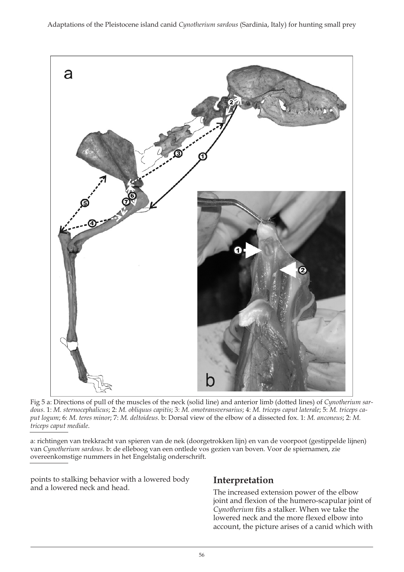

Fig 5 a: Directions of pull of the muscles of the neck (solid line) and anterior limb (dotted lines) of *Cynotherium sardous.* 1: *M. sternocephalicus;* 2: *M. obliquus capitis;* 3: *M. omotransversarius;* 4: *M. triceps caput laterale;* 5: *M. triceps caput logum; 6: M. teres minor; 7: M. deltoideus. b: Dorsal view of the elbow of a dissected fox. 1: M. anconeus; 2: M. triceps caput mediale.* 

a: richtingen van trekkracht van spieren van de nek (doorgetrokken lijn) en van de voorpoot (gestippelde lijnen) van *Cynotherium sardous*. b: de elleboog van een ontlede vos gezien van boven. Voor de spiernamen, zie overeenkomstige nummers in het Engelstalig onderschrift.

points to stalking behavior with a lowered body<br>and a lowered neck and head. The increased extension power of the elbow

joint and flexion of the humero-scapular joint of Cynotherium fits a stalker. When we take the lowered neck and the more flexed elbow into account, the picture arises of a canid which with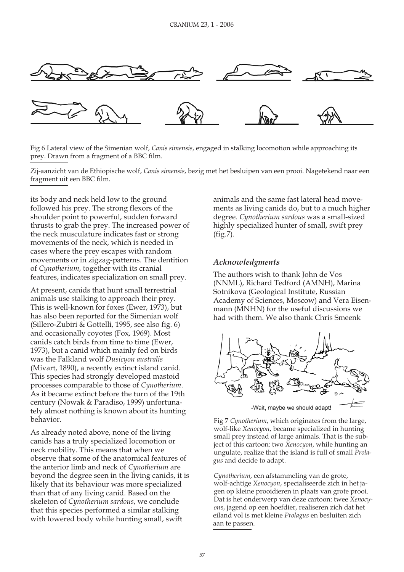

Fig 6 Lateral view of the Simenian wolf, *Canis simensis*, engaged in stalking locomotion while approaching its prey. Drawn from a fragment of a BBC film.

Zij-aanzicht van de Ethiopische wolf, *Canis simensis*, bezig met het besluipen van een prooi. Nagetekend naar een fragment uit een BBC film.

its body and neck held low to the ground followed his prey. The strong flexors of the shoulder point to powerful, sudden forward thrusts to grab the prey. The increased power of the neck musculature indicates fast or strong movements of the neck, which is needed in cases where the prey escapes with random movements or in zigzag-patterns. The dentition of *Cynotherium*, together with its cranial features, indicates specialization on small prey.

At present, canids that hunt small terrestrial animals use stalking to approach their prey. This is well-known for foxes (Ewer, 1973), but has also been reported for the Simenian wolf (Sillero-Zubiri & Gottelli, 1995, see also fig. 6) and occasionally coyotes (Fox, 1969). Most canids catch birds from time to time (Ewer, 1973), but a canid which mainly fed on birds was the Falkland wolf *Dusicyon australis* (Mivart, 1890), a recently extinct island canid. This species had strongly developed mastoid processes comparable to those of *Cynotherium*. As it became extinct before the turn of the 19th century (Nowak & Paradiso, 1999) unfortunately almost nothing is known about its hunting beha vior.

As already noted above, none of the living canids has a truly specialized locomotion or neck mobility. This means that when we observe that some of the anatomical features of the anterior limb and neck of *Cynotherium* are beyond the degree seen in the living canids, it is likely that its behaviour was more specialized than that of any living canid. Based on the skeleton of *Cynotherium sardous*, we conclude that this species performed a similar stalking with lowered body while hunting small, swift

animals and the same fast lateral head movements as living canids do, but to a much higher degree. *Cynotherium sardous* was a small-sized highly specialized hunter of small, swift prey (fig.7).

### *Acknow ledgments*

The authors wish to thank John de Vos (NNML), Richard Tedford (AMNH), Marina Sotnikova (Geological Institute, Russian Academy of Sciences, Moscow) and Vera Eisenmann (MNHN) for the useful discussions we had with them. We also thank Chris Smeenk



-Wait, maybe we should adapt!

Fig 7 *Cynotherium*, which originates from the large, wolf-like *Xenocyon*, became specialized in hunting small prey instead of large animals. That is the subject of this cartoon: two *Xenocyon*, while hunting an ungulate, realize that the island is full of small *Prolagus* and decide to adapt.

Cynotherium, een afstammeling van de grote, wolf-achtige *Xenocyon*, specialiseerde zich in het jagen op kleine prooidieren in plaats van grote prooi. Dat is het onderwerp van deze cartoon: twee *Xenocy*ons, jagend op een hoefdier, realiseren zich dat het eiland vol is met kleine *Prolagus* en besluiten zich aan te passen.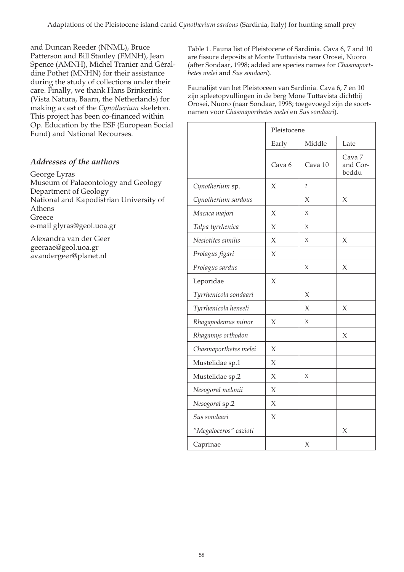dine Pothet (MNHN) for their assis tance *he tes me lei* and *Sus son daari*). during the study of collections under their (Vista Natura, Baarn, the Netherlands) for making a cast of the *Cynotherium* skeleton. This project has been co-financed within Op. Education by the ESF (European Social Fund) and National Recourses.

## Addresses of the authors

#### George Lyras

Museum of Palae ontology and Geology Department of Geology National and Kapodistrian University of Athens Greece e-mail glyras@geol.uoa.gr

Alexandra van der Geer geeraae@geol.uoa.gr avan der geer@planet.nl

and Duncan Reeder (NNML), Bruce Table 1. Fauna list of Pleistocene of Sardinia. Cava 6, 7 and 10<br>Patterson and Bill Stanley (FMNH), Jean are fissure deposits at Monte Tuttavista near Orosei, Nuoro Patterson and Bill Stanley (FMNH), Jean are fissure deposits at Monte Tuttavista near Orosei, Nuoro Spence (AMNH), Michel Tranier and Géral-<br>(after Sondaar, 1998; added are species names for Chasmapor (after Sondaar, 1998; added are species names for *Chasmaport-*

care. Finally, we thank Hans Brinkerink Faunalijst van het Pleistoceen van Sardinia. Cava 6, 7 en 10<br>(Victo Natura, Baarn, the Netherlands) for zijn spleetopvullingen in de berg Mone Tuttavista dichtbij Orosei, Nuoro (naar Sondaar, 1998; toegevoegd zijn de soortnamen voor Chasmaporthetes melei en Sus sondaari).

|                       | Pleistocene       |                    |                                        |
|-----------------------|-------------------|--------------------|----------------------------------------|
|                       | Early             | Middle             | Late                                   |
|                       | Cava <sub>6</sub> | Cava 10            | Cava <sub>7</sub><br>and Cor-<br>beddu |
| Cynotherium sp.       | X                 | $\overline{\cdot}$ |                                        |
| Cynotherium sardous   |                   | X                  | $\chi$                                 |
| Macaca majori         | $\chi$            | X                  |                                        |
| Talpa tyrrhenica      | $\chi$            | $\chi$             |                                        |
| Nesiotites similis    | X                 | X                  | X                                      |
| Prolagus figari       | $\chi$            |                    |                                        |
| Prolagus sardus       |                   | X                  | $\chi$                                 |
| Leporidae             | $\chi$            |                    |                                        |
| Tyrrhenicola sondaari |                   | X                  |                                        |
| Tyrrhenicola henseli  |                   | X                  | X                                      |
| Rhagapodemus minor    | X                 | X                  |                                        |
| Rhagamys orthodon     |                   |                    | X                                      |
| Chasmaporthetes melei | $\chi$            |                    |                                        |
| Mustelidae sp.1       | X                 |                    |                                        |
| Mustelidae sp.2       | $\chi$            | X                  |                                        |
| Nesogoral melonii     | X                 |                    |                                        |
| Nesogoral sp.2        | $\chi$            |                    |                                        |
| Sus sondaari          | $\chi$            |                    |                                        |
| "Megaloceros" cazioti |                   |                    | $\chi$                                 |
| Caprinae              |                   | $\chi$             |                                        |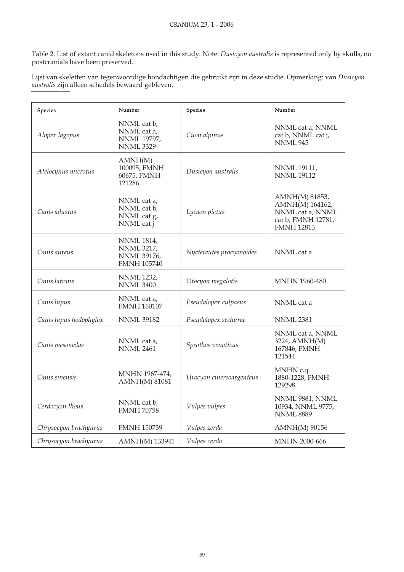Table 2. List of extant canid skeletons used in this study. Note: *Dusicyon australis* is represented only by skulls, no postcranials have been preserved.

Lijst van skeletten van tegenwoordige hondachtigen die gebruikt zijn in deze studie. Opmerking: van *Dusicyon aus tra lis* zijn al leen sche dels be waard ge bleven.

| <b>Species</b>         | Number                                                                             | <b>Species</b>           | Number                                                                                           |
|------------------------|------------------------------------------------------------------------------------|--------------------------|--------------------------------------------------------------------------------------------------|
| Alopex lagopus         | NNML cat b,<br>NNML cat a,<br>NNML 19797,<br><b>NNML 3329</b>                      | Cuon alpinus             | NNML cat a, NNML<br>cat b, NNML cat j,<br><b>NNML 945</b>                                        |
| Atelocynus microtus    | AMNH(M)<br>100095, FMNH<br>60675, FMNH<br>121286                                   | Dusicyon australis       | <b>NNML 19111,</b><br><b>NNML 19112</b>                                                          |
| Canis adustus          | NNML cat a,<br>NNML cat b,<br>NNML cat g,<br>NNML cat j                            | Lycaon pictus            | AMNH(M) 81853,<br>AMNH(M) 164162,<br>NNML cat a, NNML<br>cat b, FMNH 12781,<br><b>FMNH 12813</b> |
| Canis aureus           | <b>NNML 1814,</b><br><b>NNML 3217,</b><br><b>NNML 39176,</b><br><b>FMNH 105740</b> | Nyctereutes procyonoides | NNML cat a                                                                                       |
| Canis latrans          | <b>NNML 1232,</b><br><b>NNML 3400</b>                                              | Otocyon megalotis        | <b>MNHN 1960-480</b>                                                                             |
| Canis lupus            | NNML cat a,<br><b>FMNH 160107</b>                                                  | Pseudalopex culpaeus     | NNML cat a                                                                                       |
| Canis lupus hodophylax | <b>NNML 39182</b>                                                                  | Pseudalopex sechurae     | <b>NNML 2381</b>                                                                                 |
| Canis mesomelas        | NNML cat a,<br><b>NNML 2461</b>                                                    | Speothos venaticus       | NNML cat a, NNML<br>3224, AMNH(M)<br>167846, FMNH<br>121544                                      |
| Canis sinensis         | MNHN 1967-474,<br><b>AMNH(M) 81081</b>                                             | Urocyon cinereoargenteus | MNHN c.q.<br>1880-1228, FMNH<br>129298                                                           |
| Cerdocyon thous        | NNML cat b,<br><b>FMNH 70758</b>                                                   | Vulpes vulpes            | NNML 9881, NNML<br>10934, NNML 9775,<br><b>NNML 8889</b>                                         |
| Chrysocyon brachyurus  | <b>FMNH 150739</b>                                                                 | Vulpes zerda             | <b>AMNH(M) 90156</b>                                                                             |
| Chrysocyon brachyurus  | AMNH(M) 133941                                                                     | Vulpes zerda             | <b>MNHN 2000-666</b>                                                                             |